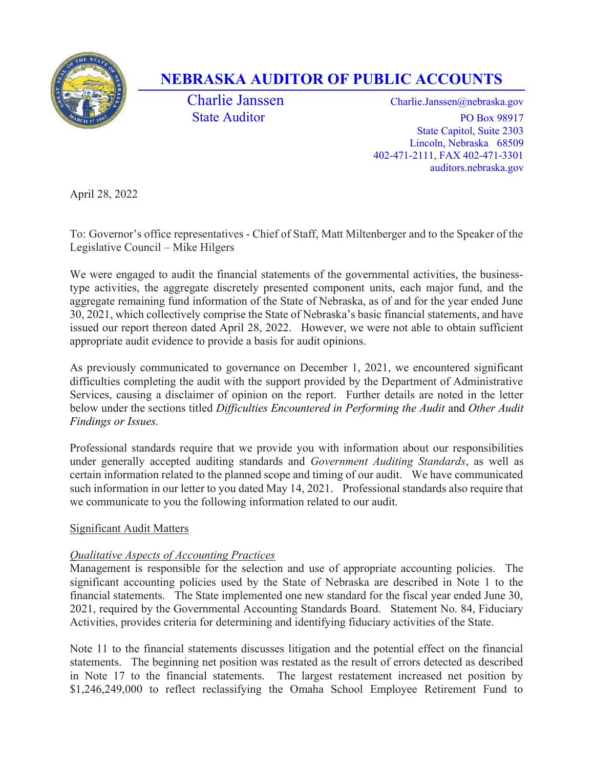

# NEBRASKA AUDITOR OF PUBLIC ACCOUNTS

Charlie Janssen Charlie.Janssen @nebraska.gov State Auditor PO Box 98917 State Capitol, Suite 2303 Lincoln, Nebraska 68509 402-471-2111, FAX 402-471-3301 auditors.nebraska.gov

April 28, 2022

To: Governor's office representatives - Chief of Staff, Matt Miltenberger and to the Speaker of the Legislative Council – Mike Hilgers

We were engaged to audit the financial statements of the governmental activities, the businesstype activities, the aggregate discretely presented component units, each major fund, and the aggregate remaining fund information of the State of Nebraska, as of and for the year ended June 30, 2021, which collectively comprise the State of Nebraska's basic financial statements, and have issued our report thereon dated April 28, 2022. However, we were not able to obtain sufficient appropriate audit evidence to provide a basis for audit opinions.

As previously communicated to governance on December 1, 2021, we encountered significant difficulties completing the audit with the support provided by the Department of Administrative Services, causing a disclaimer of opinion on the report. Further details are noted in the letter below under the sections titled Difficulties Encountered in Performing the Audit and Other Audit Findings or Issues.

Professional standards require that we provide you with information about our responsibilities under generally accepted auditing standards and Government Auditing Standards, as well as certain information related to the planned scope and timing of our audit. We have communicated such information in our letter to you dated May 14, 2021. Professional standards also require that we communicate to you the following information related to our audit.

### Significant Audit Matters

## Qualitative Aspects of Accounting Practices

Management is responsible for the selection and use of appropriate accounting policies. The significant accounting policies used by the State of Nebraska are described in Note 1 to the financial statements. The State implemented one new standard for the fiscal year ended June 30, 2021, required by the Governmental Accounting Standards Board. Statement No. 84, Fiduciary Activities, provides criteria for determining and identifying fiduciary activities of the State.

Note 11 to the financial statements discusses litigation and the potential effect on the financial statements. The beginning net position was restated as the result of errors detected as described in Note 17 to the financial statements. The largest restatement increased net position by \$1,246,249,000 to reflect reclassifying the Omaha School Employee Retirement Fund to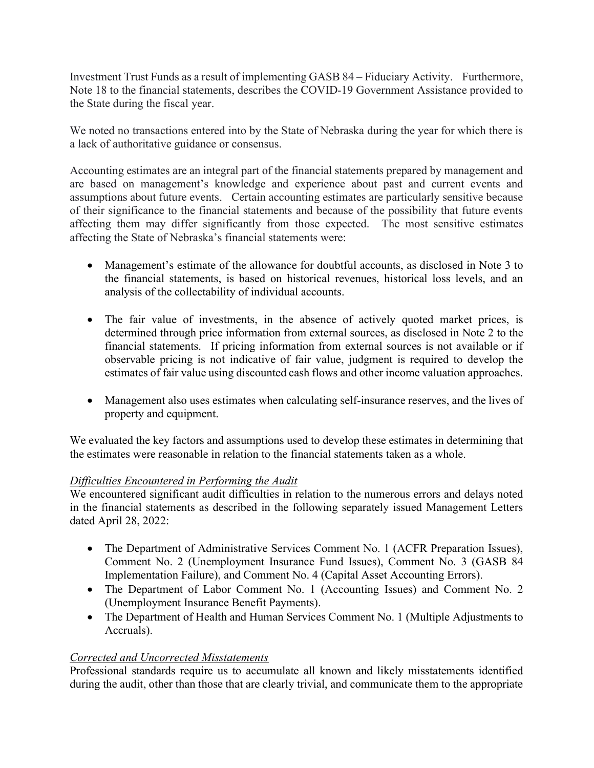Investment Trust Funds as a result of implementing GASB 84 – Fiduciary Activity. Furthermore, Note 18 to the financial statements, describes the COVID-19 Government Assistance provided to the State during the fiscal year.

We noted no transactions entered into by the State of Nebraska during the year for which there is a lack of authoritative guidance or consensus.

Accounting estimates are an integral part of the financial statements prepared by management and are based on management's knowledge and experience about past and current events and assumptions about future events. Certain accounting estimates are particularly sensitive because of their significance to the financial statements and because of the possibility that future events affecting them may differ significantly from those expected. The most sensitive estimates affecting the State of Nebraska's financial statements were:

- Management's estimate of the allowance for doubtful accounts, as disclosed in Note 3 to the financial statements, is based on historical revenues, historical loss levels, and an analysis of the collectability of individual accounts.
- The fair value of investments, in the absence of actively quoted market prices, is determined through price information from external sources, as disclosed in Note 2 to the financial statements. If pricing information from external sources is not available or if observable pricing is not indicative of fair value, judgment is required to develop the estimates of fair value using discounted cash flows and other income valuation approaches.
- Management also uses estimates when calculating self-insurance reserves, and the lives of property and equipment.

We evaluated the key factors and assumptions used to develop these estimates in determining that the estimates were reasonable in relation to the financial statements taken as a whole.

### Difficulties Encountered in Performing the Audit

We encountered significant audit difficulties in relation to the numerous errors and delays noted in the financial statements as described in the following separately issued Management Letters dated April 28, 2022:

- The Department of Administrative Services Comment No. 1 (ACFR Preparation Issues), Comment No. 2 (Unemployment Insurance Fund Issues), Comment No. 3 (GASB 84 Implementation Failure), and Comment No. 4 (Capital Asset Accounting Errors).
- The Department of Labor Comment No. 1 (Accounting Issues) and Comment No. 2 (Unemployment Insurance Benefit Payments).
- The Department of Health and Human Services Comment No. 1 (Multiple Adjustments to Accruals).

### Corrected and Uncorrected Misstatements

Professional standards require us to accumulate all known and likely misstatements identified during the audit, other than those that are clearly trivial, and communicate them to the appropriate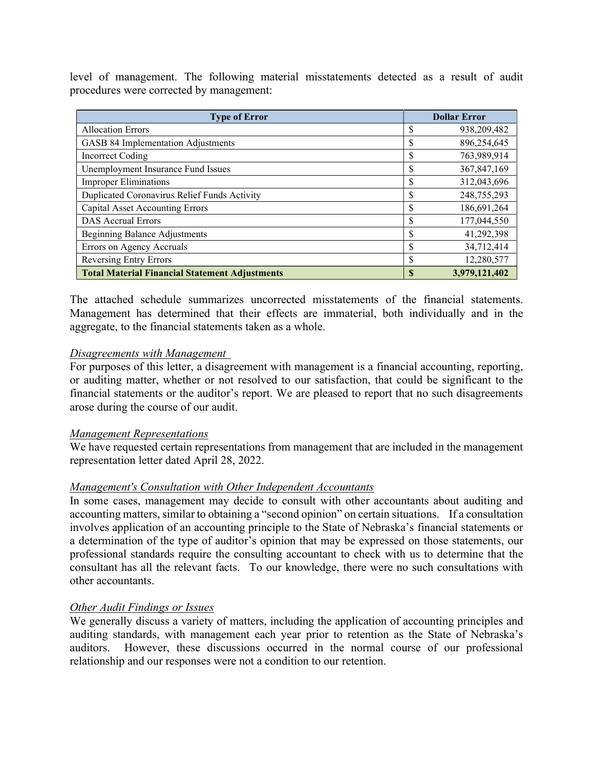level of management. The following material misstatements detected as a result of audit procedures were corrected by management:

| <b>Type of Error</b>                                  | <b>Dollar Error</b> |               |
|-------------------------------------------------------|---------------------|---------------|
| <b>Allocation Errors</b>                              | \$                  | 938,209,482   |
| GASB 84 Implementation Adjustments                    | \$                  | 896,254,645   |
| Incorrect Coding                                      | \$                  | 763,989,914   |
| Unemployment Insurance Fund Issues                    | \$                  | 367,847,169   |
| <b>Improper Eliminations</b>                          | \$                  | 312,043,696   |
| Duplicated Coronavirus Relief Funds Activity          | S                   | 248,755,293   |
| <b>Capital Asset Accounting Errors</b>                | \$                  | 186,691,264   |
| <b>DAS Accrual Errors</b>                             | S                   | 177,044,550   |
| <b>Beginning Balance Adjustments</b>                  | \$                  | 41,292,398    |
| Errors on Agency Accruals                             | S                   | 34,712,414    |
| <b>Reversing Entry Errors</b>                         | S                   | 12,280,577    |
| <b>Total Material Financial Statement Adjustments</b> | S                   | 3,979,121,402 |

The attached schedule summarizes uncorrected misstatements of the financial statements. Management has determined that their effects are immaterial, both individually and in the aggregate, to the financial statements taken as a whole.

#### Disagreements with Management

For purposes of this letter, a disagreement with management is a financial accounting, reporting, or auditing matter, whether or not resolved to our satisfaction, that could be significant to the financial statements or the auditor's report. We are pleased to report that no such disagreements arose during the course of our audit.

#### Management Representations

We have requested certain representations from management that are included in the management representation letter dated April 28, 2022.

#### Management's Consultation with Other Independent Accountants

In some cases, management may decide to consult with other accountants about auditing and accounting matters, similar to obtaining a "second opinion" on certain situations. If a consultation involves application of an accounting principle to the State of Nebraska's financial statements or a determination of the type of auditor's opinion that may be expressed on those statements, our professional standards require the consulting accountant to check with us to determine that the consultant has all the relevant facts. To our knowledge, there were no such consultations with other accountants.

#### Other Audit Findings or Issues

We generally discuss a variety of matters, including the application of accounting principles and auditing standards, with management each year prior to retention as the State of Nebraska's auditors. However, these discussions occurred in the normal course of our professional relationship and our responses were not a condition to our retention.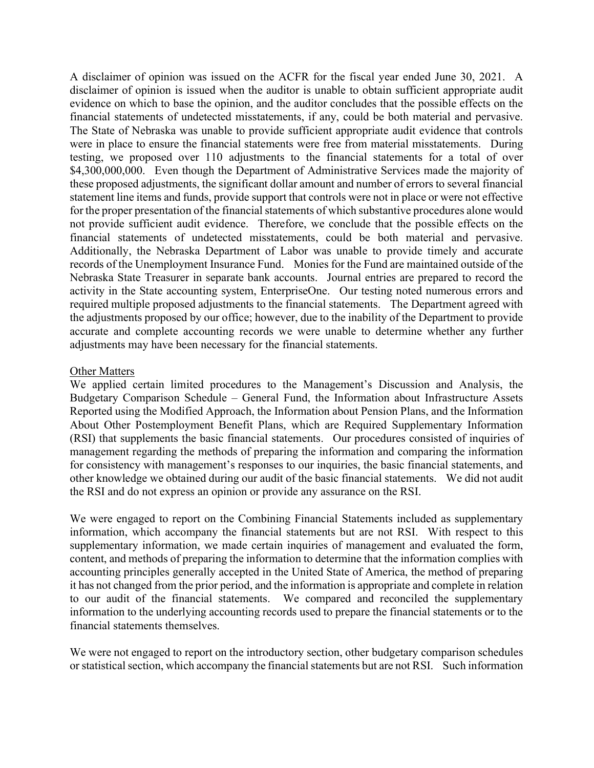A disclaimer of opinion was issued on the ACFR for the fiscal year ended June 30, 2021. A disclaimer of opinion is issued when the auditor is unable to obtain sufficient appropriate audit evidence on which to base the opinion, and the auditor concludes that the possible effects on the financial statements of undetected misstatements, if any, could be both material and pervasive. The State of Nebraska was unable to provide sufficient appropriate audit evidence that controls were in place to ensure the financial statements were free from material misstatements. During testing, we proposed over 110 adjustments to the financial statements for a total of over \$4,300,000,000. Even though the Department of Administrative Services made the majority of these proposed adjustments, the significant dollar amount and number of errors to several financial statement line items and funds, provide support that controls were not in place or were not effective for the proper presentation of the financial statements of which substantive procedures alone would not provide sufficient audit evidence. Therefore, we conclude that the possible effects on the financial statements of undetected misstatements, could be both material and pervasive. Additionally, the Nebraska Department of Labor was unable to provide timely and accurate records of the Unemployment Insurance Fund. Monies for the Fund are maintained outside of the Nebraska State Treasurer in separate bank accounts. Journal entries are prepared to record the activity in the State accounting system, EnterpriseOne. Our testing noted numerous errors and required multiple proposed adjustments to the financial statements. The Department agreed with the adjustments proposed by our office; however, due to the inability of the Department to provide accurate and complete accounting records we were unable to determine whether any further adjustments may have been necessary for the financial statements.

#### Other Matters

We applied certain limited procedures to the Management's Discussion and Analysis, the Budgetary Comparison Schedule – General Fund, the Information about Infrastructure Assets Reported using the Modified Approach, the Information about Pension Plans, and the Information About Other Postemployment Benefit Plans, which are Required Supplementary Information (RSI) that supplements the basic financial statements. Our procedures consisted of inquiries of management regarding the methods of preparing the information and comparing the information for consistency with management's responses to our inquiries, the basic financial statements, and other knowledge we obtained during our audit of the basic financial statements. We did not audit the RSI and do not express an opinion or provide any assurance on the RSI.

We were engaged to report on the Combining Financial Statements included as supplementary information, which accompany the financial statements but are not RSI. With respect to this supplementary information, we made certain inquiries of management and evaluated the form, content, and methods of preparing the information to determine that the information complies with accounting principles generally accepted in the United State of America, the method of preparing it has not changed from the prior period, and the information is appropriate and complete in relation to our audit of the financial statements. We compared and reconciled the supplementary information to the underlying accounting records used to prepare the financial statements or to the financial statements themselves.

We were not engaged to report on the introductory section, other budgetary comparison schedules or statistical section, which accompany the financial statements but are not RSI. Such information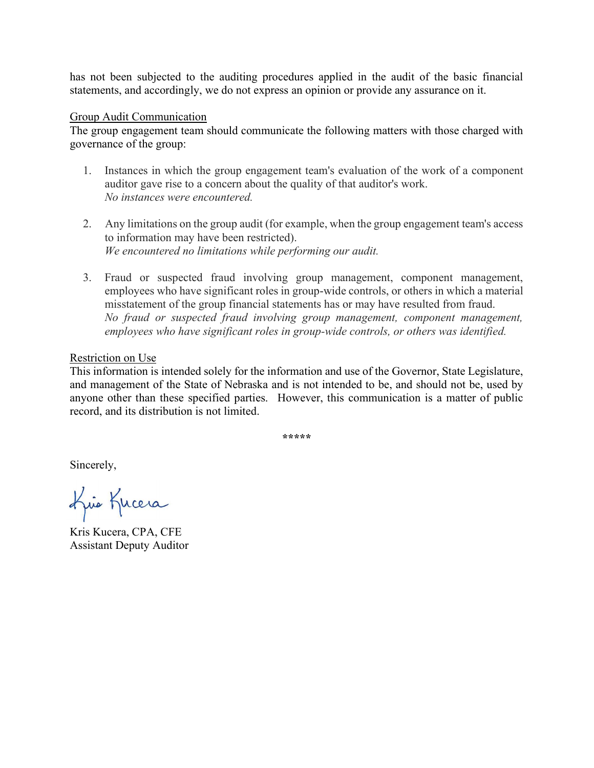has not been subjected to the auditing procedures applied in the audit of the basic financial statements, and accordingly, we do not express an opinion or provide any assurance on it.

#### Group Audit Communication

The group engagement team should communicate the following matters with those charged with governance of the group:

- 1. Instances in which the group engagement team's evaluation of the work of a component auditor gave rise to a concern about the quality of that auditor's work. No instances were encountered.
- 2. Any limitations on the group audit (for example, when the group engagement team's access to information may have been restricted). We encountered no limitations while performing our audit.
- 3. Fraud or suspected fraud involving group management, component management, employees who have significant roles in group-wide controls, or others in which a material misstatement of the group financial statements has or may have resulted from fraud. No fraud or suspected fraud involving group management, component management, employees who have significant roles in group-wide controls, or others was identified.

#### Restriction on Use

This information is intended solely for the information and use of the Governor, State Legislature, and management of the State of Nebraska and is not intended to be, and should not be, used by anyone other than these specified parties. However, this communication is a matter of public record, and its distribution is not limited.

\*\*\*\*\*

Sincerely,

Kris Kucera

Kris Kucera, CPA, CFE Assistant Deputy Auditor